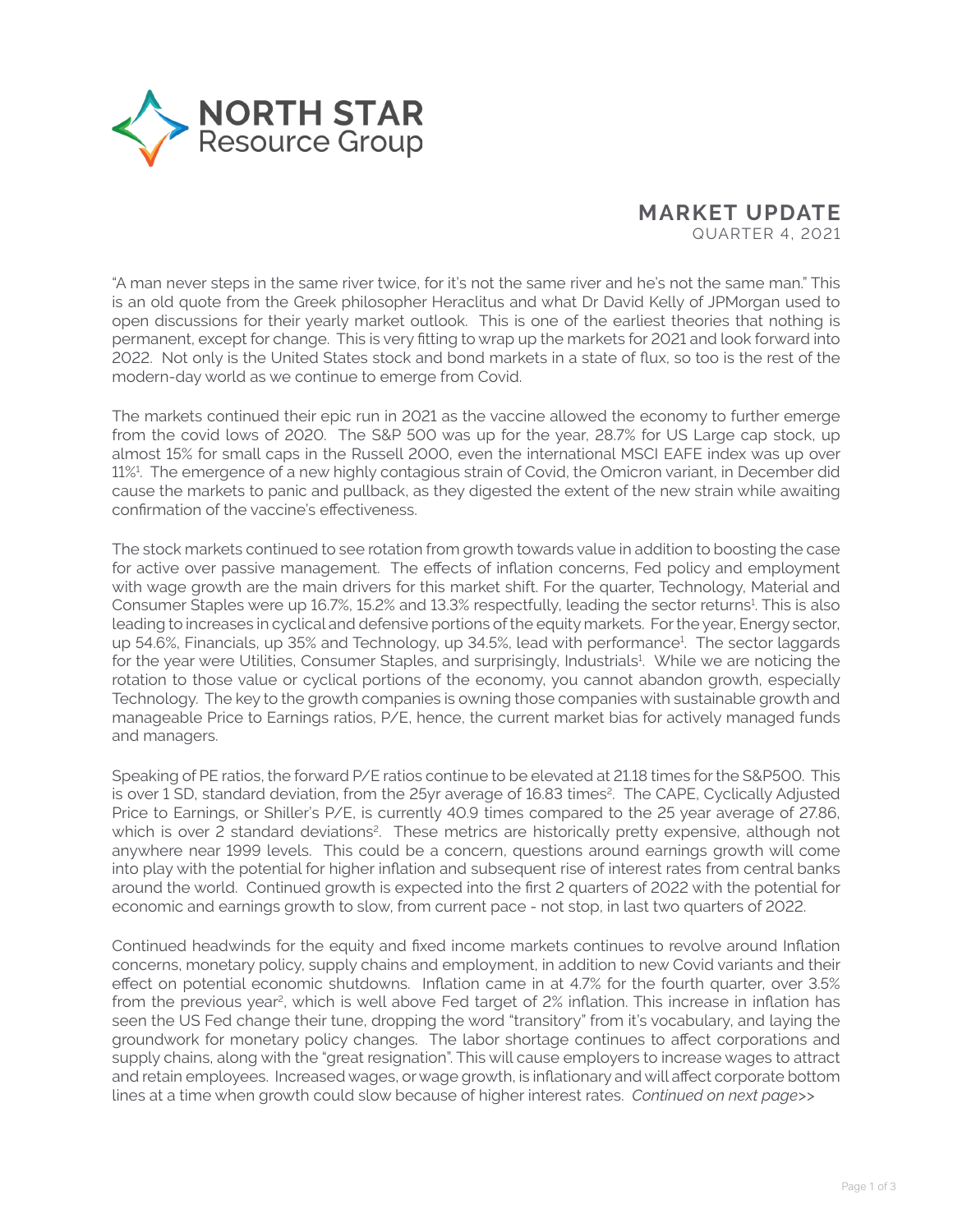

## **MARKET UPDATE** QUARTER 4, 2021

"A man never steps in the same river twice, for it's not the same river and he's not the same man." This is an old quote from the Greek philosopher Heraclitus and what Dr David Kelly of JPMorgan used to open discussions for their yearly market outlook. This is one of the earliest theories that nothing is permanent, except for change. This is very fitting to wrap up the markets for 2021 and look forward into 2022. Not only is the United States stock and bond markets in a state of flux, so too is the rest of the modern-day world as we continue to emerge from Covid.

The markets continued their epic run in 2021 as the vaccine allowed the economy to further emerge from the covid lows of 2020. The S&P 500 was up for the year, 28.7% for US Large cap stock, up almost 15% for small caps in the Russell 2000, even the international MSCI EAFE index was up over 11%1 . The emergence of a new highly contagious strain of Covid, the Omicron variant, in December did cause the markets to panic and pullback, as they digested the extent of the new strain while awaiting confirmation of the vaccine's effectiveness.

The stock markets continued to see rotation from growth towards value in addition to boosting the case for active over passive management. The effects of inflation concerns, Fed policy and employment with wage growth are the main drivers for this market shift. For the quarter, Technology, Material and Consumer Staples were up 16.7%, 15.2% and 13.3% respectfully, leading the sector returns<sup>1</sup>. This is also leading to increases in cyclical and defensive portions of the equity markets. For the year, Energy sector, up 54.6%, Financials, up 35% and Technology, up 34.5%, lead with performance<sup>1</sup>. The sector laggards for the year were Utilities, Consumer Staples, and surprisingly, Industrials<sup>1</sup>. While we are noticing the rotation to those value or cyclical portions of the economy, you cannot abandon growth, especially Technology. The key to the growth companies is owning those companies with sustainable growth and manageable Price to Earnings ratios, P/E, hence, the current market bias for actively managed funds and managers.

Speaking of PE ratios, the forward P/E ratios continue to be elevated at 21.18 times for the S&P500. This is over 1 SD, standard deviation, from the 25yr average of 16.83 times<sup>2</sup>. The CAPE, Cyclically Adjusted Price to Earnings, or Shiller's P/E, is currently 40.9 times compared to the 25 year average of 27.86, which is over 2 standard deviations<sup>2</sup>. These metrics are historically pretty expensive, although not anywhere near 1999 levels. This could be a concern, questions around earnings growth will come into play with the potential for higher inflation and subsequent rise of interest rates from central banks around the world. Continued growth is expected into the first 2 quarters of 2022 with the potential for economic and earnings growth to slow, from current pace - not stop, in last two quarters of 2022.

Continued headwinds for the equity and fixed income markets continues to revolve around Inflation concerns, monetary policy, supply chains and employment, in addition to new Covid variants and their effect on potential economic shutdowns. Inflation came in at 4.7% for the fourth quarter, over 3.5% from the previous year<sup>2</sup>, which is well above Fed target of 2% inflation. This increase in inflation has seen the US Fed change their tune, dropping the word "transitory" from it's vocabulary, and laying the groundwork for monetary policy changes. The labor shortage continues to affect corporations and supply chains, along with the "great resignation". This will cause employers to increase wages to attract and retain employees. Increased wages, or wage growth, is inflationary and will affect corporate bottom lines at a time when growth could slow because of higher interest rates. *Continued on next page>>*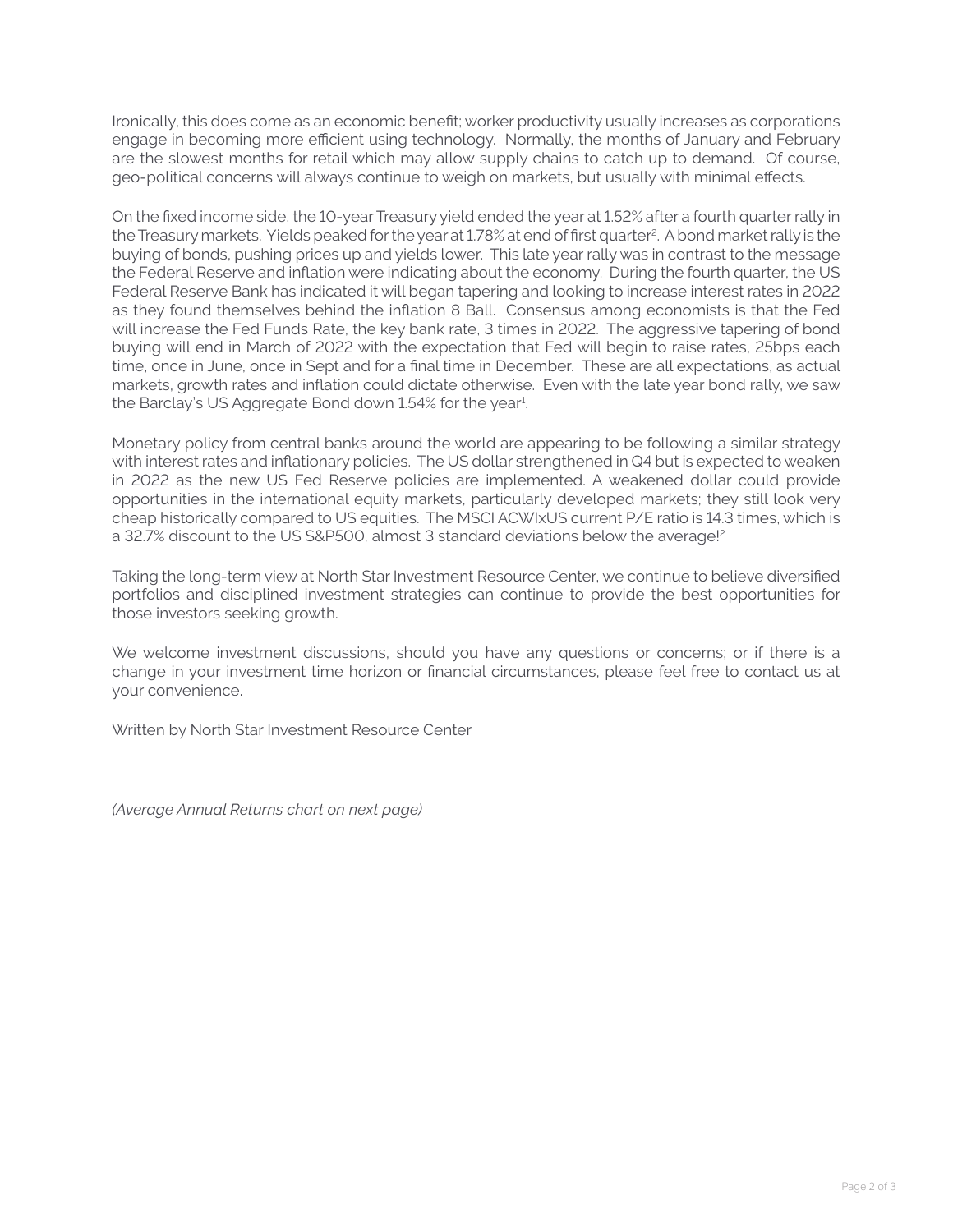Ironically, this does come as an economic benefit; worker productivity usually increases as corporations engage in becoming more efficient using technology. Normally, the months of January and February are the slowest months for retail which may allow supply chains to catch up to demand. Of course, geo-political concerns will always continue to weigh on markets, but usually with minimal effects.

On the fixed income side, the 10-year Treasury yield ended the year at 1.52% after a fourth quarter rally in the Treasury markets. Yields peaked for the year at 1.78% at end of first quarter<sup>2</sup>. A bond market rally is the buying of bonds, pushing prices up and yields lower. This late year rally was in contrast to the message the Federal Reserve and inflation were indicating about the economy. During the fourth quarter, the US Federal Reserve Bank has indicated it will began tapering and looking to increase interest rates in 2022 as they found themselves behind the inflation 8 Ball. Consensus among economists is that the Fed will increase the Fed Funds Rate, the key bank rate, 3 times in 2022. The aggressive tapering of bond buying will end in March of 2022 with the expectation that Fed will begin to raise rates, 25bps each time, once in June, once in Sept and for a final time in December. These are all expectations, as actual markets, growth rates and inflation could dictate otherwise. Even with the late year bond rally, we saw the Barclay's US Aggregate Bond down 1.54% for the year<sup>1</sup>.

Monetary policy from central banks around the world are appearing to be following a similar strategy with interest rates and inflationary policies. The US dollar strengthened in Q4 but is expected to weaken in 2022 as the new US Fed Reserve policies are implemented. A weakened dollar could provide opportunities in the international equity markets, particularly developed markets; they still look very cheap historically compared to US equities. The MSCI ACWIxUS current P/E ratio is 14.3 times, which is a 32.7% discount to the US S&P500, almost 3 standard deviations below the average!<sup>2</sup>

Taking the long-term view at North Star Investment Resource Center, we continue to believe diversified portfolios and disciplined investment strategies can continue to provide the best opportunities for those investors seeking growth.

We welcome investment discussions, should you have any questions or concerns; or if there is a change in your investment time horizon or financial circumstances, please feel free to contact us at your convenience.

Written by North Star Investment Resource Center

*(Average Annual Returns chart on next page)*